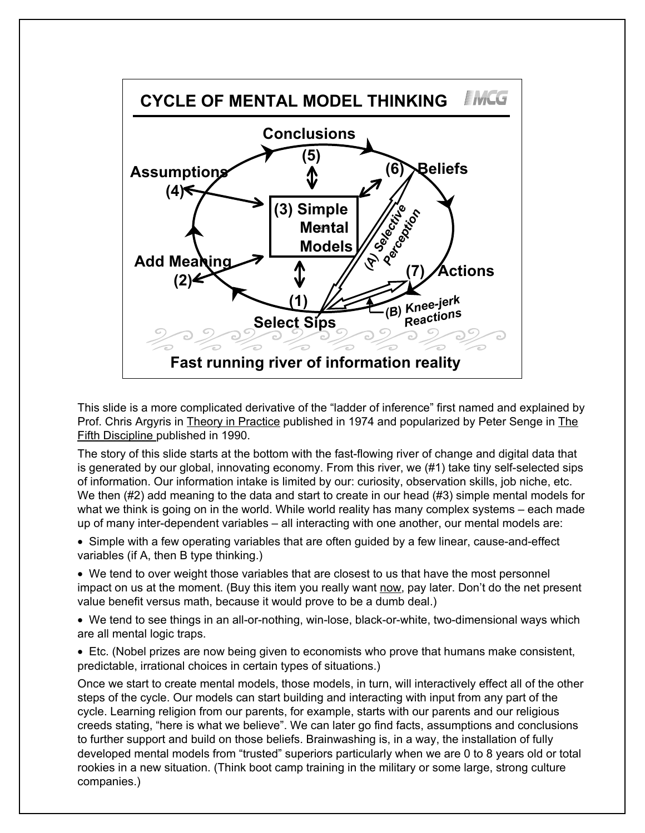

This slide is a more complicated derivative of the "ladder of inference" first named and explained by Prof. Chris Argyris in Theory in Practice published in 1974 and popularized by Peter Senge in The Fifth Discipline published in 1990.

The story of this slide starts at the bottom with the fast-flowing river of change and digital data that is generated by our global, innovating economy. From this river, we (#1) take tiny self-selected sips of information. Our information intake is limited by our: curiosity, observation skills, job niche, etc. We then (#2) add meaning to the data and start to create in our head (#3) simple mental models for what we think is going on in the world. While world reality has many complex systems – each made up of many inter-dependent variables – all interacting with one another, our mental models are:

• Simple with a few operating variables that are often guided by a few linear, cause-and-effect variables (if A, then B type thinking.)

• We tend to over weight those variables that are closest to us that have the most personnel impact on us at the moment. (Buy this item you really want now, pay later. Don't do the net present value benefit versus math, because it would prove to be a dumb deal.)

• We tend to see things in an all-or-nothing, win-lose, black-or-white, two-dimensional ways which are all mental logic traps.

• Etc. (Nobel prizes are now being given to economists who prove that humans make consistent, predictable, irrational choices in certain types of situations.)

Once we start to create mental models, those models, in turn, will interactively effect all of the other steps of the cycle. Our models can start building and interacting with input from any part of the cycle. Learning religion from our parents, for example, starts with our parents and our religious creeds stating, "here is what we believe". We can later go find facts, assumptions and conclusions to further support and build on those beliefs. Brainwashing is, in a way, the installation of fully developed mental models from "trusted" superiors particularly when we are 0 to 8 years old or total rookies in a new situation. (Think boot camp training in the military or some large, strong culture companies.)